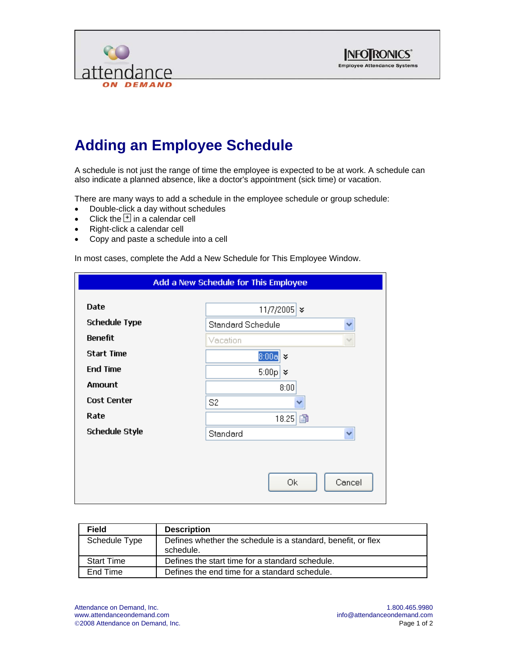



## **Adding an Employee Schedule**

A schedule is not just the range of time the employee is expected to be at work. A schedule can also indicate a planned absence, like a doctor's appointment (sick time) or vacation.

There are many ways to add a schedule in the employee schedule or group schedule:

- Double-click a day without schedules
- Click the  $\overline{1}$  in a calendar cell
- Right-click a calendar cell
- Copy and paste a schedule into a cell

In most cases, complete the Add a New Schedule for This Employee Window.

| Add a New Schedule for This Employee |                               |  |
|--------------------------------------|-------------------------------|--|
| <b>Date</b>                          | 11/7/2005 $\ast$              |  |
| <b>Schedule Type</b>                 | <b>Standard Schedule</b><br>v |  |
| <b>Benefit</b>                       | Vacation<br>$\searrow$        |  |
| <b>Start Time</b>                    | $8:00a$ $\times$              |  |
| <b>End Time</b>                      | $5:00p \times$                |  |
| Amount                               | 8:00                          |  |
| <b>Cost Center</b>                   | S <sub>2</sub>                |  |
| Rate                                 | 18.25 图                       |  |
| <b>Schedule Style</b>                | Standard<br>$\checkmark$      |  |
|                                      |                               |  |
|                                      |                               |  |
|                                      | 0k<br>Cancel                  |  |
|                                      |                               |  |

| <b>Field</b>      | <b>Description</b>                                                        |
|-------------------|---------------------------------------------------------------------------|
| Schedule Type     | Defines whether the schedule is a standard, benefit, or flex<br>schedule. |
| <b>Start Time</b> | Defines the start time for a standard schedule.                           |
| End Time          | Defines the end time for a standard schedule.                             |